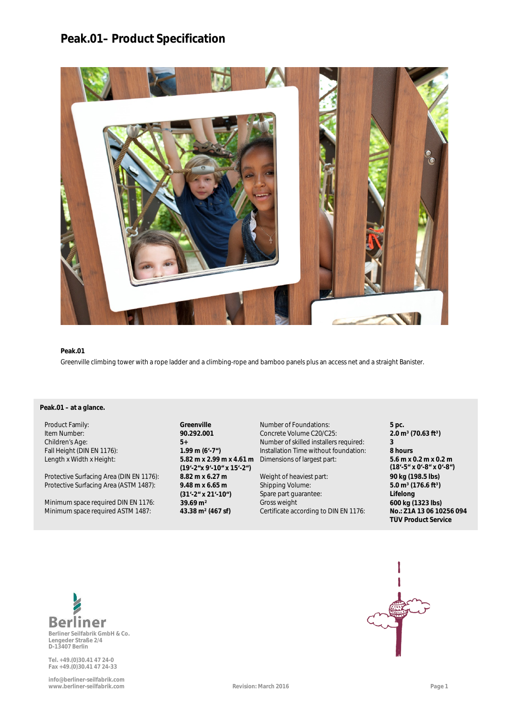# **Peak.01– Product Specification**



### **Peak.01**

**a** Greenville climbing tower with a rope ladder and a climbing-rope and bamboo panels plus an access net and a straight Banister.

## Peak.01 – at a glance.

Protective Surfacing Area (DIN EN 1176): **8.82 m x 6.27 m** Weight of heaviest part: **90 kg (198.5 lbs)**<br>Protective Surfacing Area (ASTM 1487): **9.48 m x 6.65 m** Shipping Volume: 5.0 m<sup>3</sup> (176.6 ft<sup>3</sup>) Protective Surfacing Area (ASTM 1487):

Minimum space required DIN EN 1176: **39.69 m<sup>2</sup> 600 kg (1323 lbs)**<br>Minimum space required ASTM 1487: **43.38 m<sup>2</sup> (467 sf)** Certificate according to DIN EN 1176: **No.: Z1A 13 06 10256 094** 

Length x Width x Height: **5.82 m x 2.99 m x 4.61 m (19'-2"x 9'-10" x 15'-2") (31'-2" x 21'-10")**

Product Family: **Greenville** Number of Foundations: **5 pc.** Item Number: **90.292.001** Concrete Volume C20/C25: **2.0 m<sup>3</sup> (70.63 ft<sup>3</sup>)**<br>Children's Age: **2.0 1 5**+ **Dumber of skilled installers required: 3** Children's Age: **5+** Number of skilled installers required: **3** Fall Height (DIN EN 1176): **1.99 m (6'-7")** Installation Time without foundation: **8 hours** Dimensions of largest part: **5.6 m x 0.2 m x 0.2 m**

> Shipping Volume: Spare part guarantee: **Certificate according to DIN EN 1176:**

**(18'-5" x 0'-8" x 0'-8") 5.0 m³ (176.6 ft³) a Lifelong TÜV Product Service**



**Lengeder Straße 2/4 D-13407 Berlin**

**Tel. +49.(0)30.41 47 24-0 Fax +49.(0)30.41 47 24-33**

**info@berliner-seilfabrik.com www.berliner-seilfabrik.com Revision: March 2016 Page 1**